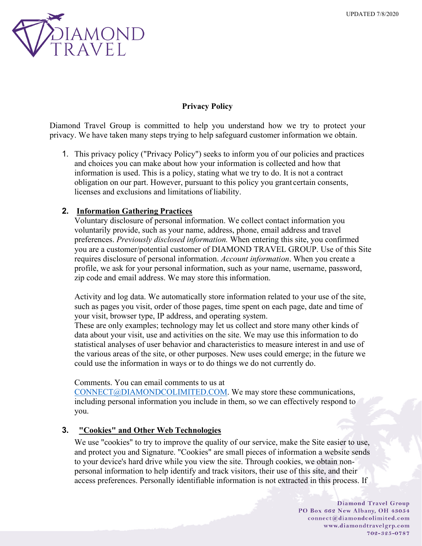

# **Privacy Policy**

Diamond Travel Group is committed to help you understand how we try to protect your privacy. We have taken many steps trying to help safeguard customer information we obtain.

1. This privacy policy ("Privacy Policy") seeks to inform you of our policies and practices and choices you can make about how your information is collected and how that information is used. This is a policy, stating what we try to do. It is not a contract obligation on our part. However, pursuant to this policy you grant certain consents, licenses and exclusions and limitations of liability.

# **2. Information Gathering Practices**

Voluntary disclosure of personal information. We collect contact information you voluntarily provide, such as your name, address, phone, email address and travel preferences. *Previously disclosed information.* When entering this site, you confirmed you are a customer/potential customer of DIAMOND TRAVEL GROUP. Use of this Site requires disclosure of personal information. *Account information*. When you create a profile, we ask for your personal information, such as your name, username, password, zip code and email address. We may store this information.

Activity and log data. We automatically store information related to your use of the site, such as pages you visit, order of those pages, time spent on each page, date and time of your visit, browser type, IP address, and operating system.

These are only examples; technology may let us collect and store many other kinds of data about your visit, use and activities on the site. We may use this information to do statistical analyses of user behavior and characteristics to measure interest in and use of the various areas of the site, or other purposes. New uses could emerge; in the future we could use the information in ways or to do things we do not currently do.

### Comments. You can email comments to us at

[CONNECT@DIAMONDCOLIMITED.COM.](mailto:CONNECT@DIAMONDCOLIMITED.COM) We may store these communications, including personal information you include in them, so we can effectively respond to you.

# **3. "Cookies" and Other Web Technologies**

We use "cookies" to try to improve the quality of our service, make the Site easier to use, and protect you and Signature. "Cookies" are small pieces of information a website sends to your device's hard drive while you view the site. Through cookies, we obtain nonpersonal information to help identify and track visitors, their use of this site, and their access preferences. Personally identifiable information is not extracted in this process. If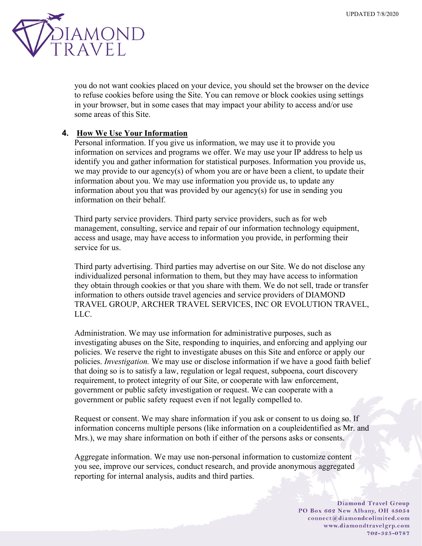

you do not want cookies placed on your device, you should set the browser on the device to refuse cookies before using the Site. You can remove or block cookies using settings in your browser, but in some cases that may impact your ability to access and/or use some areas of this Site.

### **4. How We Use Your Information**

Personal information. If you give us information, we may use it to provide you information on services and programs we offer. We may use your IP address to help us identify you and gather information for statistical purposes. Information you provide us, we may provide to our agency(s) of whom you are or have been a client, to update their information about you. We may use information you provide us, to update any information about you that was provided by our agency(s) for use in sending you information on their behalf.

Third party service providers. Third party service providers, such as for web management, consulting, service and repair of our information technology equipment, access and usage, may have access to information you provide, in performing their service for us.

Third party advertising. Third parties may advertise on our Site. We do not disclose any individualized personal information to them, but they may have access to information they obtain through cookies or that you share with them. We do not sell, trade or transfer information to others outside travel agencies and service providers of DIAMOND TRAVEL GROUP, ARCHER TRAVEL SERVICES, INC OR EVOLUTION TRAVEL, LLC.

Administration. We may use information for administrative purposes, such as investigating abuses on the Site, responding to inquiries, and enforcing and applying our policies. We reserve the right to investigate abuses on this Site and enforce or apply our policies. *Investigation.* We may use or disclose information if we have a good faith belief that doing so is to satisfy a law, regulation or legal request, subpoena, court discovery requirement, to protect integrity of our Site, or cooperate with law enforcement, government or public safety investigation or request. We can cooperate with a government or public safety request even if not legally compelled to.

Request or consent. We may share information if you ask or consent to us doing so. If information concerns multiple persons (like information on a coupleidentified as Mr. and Mrs.), we may share information on both if either of the persons asks or consents.

Aggregate information. We may use non-personal information to customize content you see, improve our services, conduct research, and provide anonymous aggregated reporting for internal analysis, audits and third parties.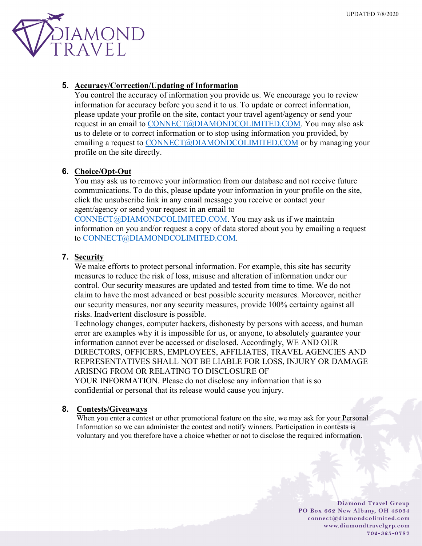

## **5. Accuracy/Correction/Updating of Information**

You control the accuracy of information you provide us. We encourage you to review information for accuracy before you send it to us. To update or correct information, please update your profile on the site, contact your travel agent/agency or send your request in an email to [CONNECT@DIAMONDCOLIMITED.COM.](mailto:CONNECT@DIAMONDCOLIMITED.COM) You may also ask us to delete or to correct information or to stop using information you provided, by emailing a request to [CONNECT@DIAMONDCOLIMITED.COM](mailto:CONNECT@DIAMONDCOLIMITED.COM) or by managing your profile on the site directly.

## **6. Choice/Opt-Out**

You may ask us to remove your information from our database and not receive future communications. To do this, please update your information in your profile on the site, click the unsubscribe link in any email message you receive or contact your agent/agency or send your request in an email to

[CONNECT@DIAMONDCOLIMITED.COM.](mailto:CONNECT@DIAMONDCOLIMITED.COM) You may ask us if we maintain information on you and/or request a copy of data stored about you by emailing a request to [CONNECT@DIAMONDCOLIMITED.COM.](mailto:CONNECT@DIAMONDCOLIMITED.COM)

## **7. Security**

We make efforts to protect personal information. For example, this site has security measures to reduce the risk of loss, misuse and alteration of information under our control. Our security measures are updated and tested from time to time. We do not claim to have the most advanced or best possible security measures. Moreover, neither our security measures, nor any security measures, provide 100% certainty against all risks. Inadvertent disclosure is possible.

Technology changes, computer hackers, dishonesty by persons with access, and human error are examples why it is impossible for us, or anyone, to absolutely guarantee your information cannot ever be accessed or disclosed. Accordingly, WE AND OUR DIRECTORS, OFFICERS, EMPLOYEES, AFFILIATES, TRAVEL AGENCIES AND REPRESENTATIVES SHALL NOT BE LIABLE FOR LOSS, INJURY OR DAMAGE ARISING FROM OR RELATING TO DISCLOSURE OF YOUR INFORMATION. Please do not disclose any information that is so confidential or personal that its release would cause you injury.

### **8. Contests/Giveaways**

When you enter a contest or other promotional feature on the site, we may ask for your Personal Information so we can administer the contest and notify winners. Participation in contests is voluntary and you therefore have a choice whether or not to disclose the required information.